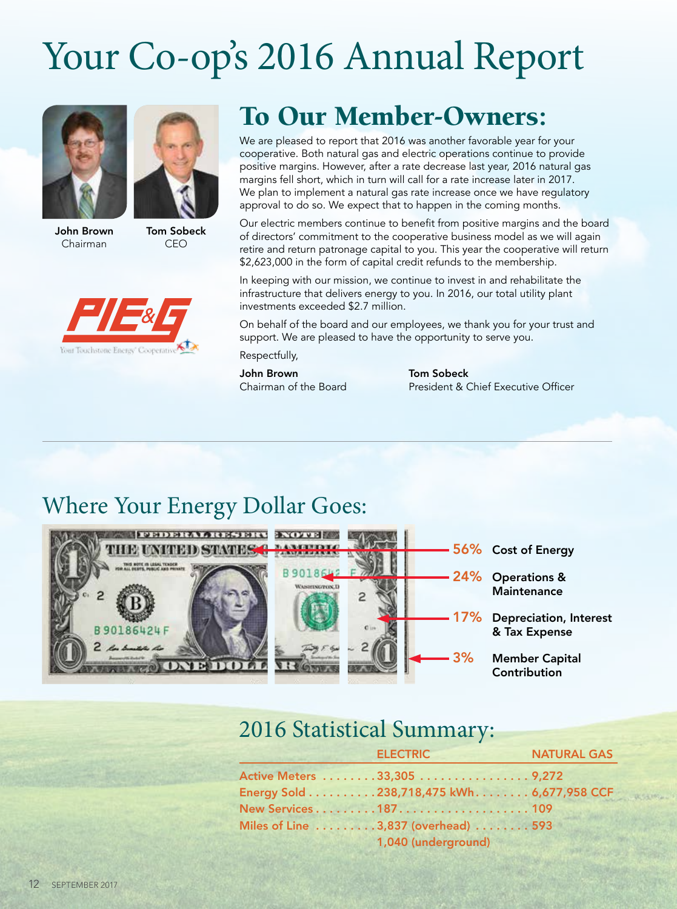# Your Co-op's 2016 Annual Report



Chairman







### To Our Member-Owners:

We are pleased to report that 2016 was another favorable year for your cooperative. Both natural gas and electric operations continue to provide positive margins. However, after a rate decrease last year, 2016 natural gas margins fell short, which in turn will call for a rate increase later in 2017. We plan to implement a natural gas rate increase once we have regulatory approval to do so. We expect that to happen in the coming months.

Our electric members continue to benefit from positive margins and the board of directors' commitment to the cooperative business model as we will again retire and return patronage capital to you. This year the cooperative will return \$2,623,000 in the form of capital credit refunds to the membership.

In keeping with our mission, we continue to invest in and rehabilitate the infrastructure that delivers energy to you. In 2016, our total utility plant investments exceeded \$2.7 million.

On behalf of the board and our employees, we thank you for your trust and support. We are pleased to have the opportunity to serve you.

Respectfully,

John Brown

**Tom Sobeck** Chairman of the Board President & Chief Executive Officer

#### Where Your Energy Dollar Goes:



#### 2016 Statistical Summary:

|  | <b>ELECTRIC</b>                            | <b>NATURAL GAS</b> |
|--|--------------------------------------------|--------------------|
|  | Active Meters 33,305 9,272                 |                    |
|  | Energy Sold 238,718,475 kWh. 6,677,958 CCF |                    |
|  | New Services187109                         |                    |
|  | Miles of Line 3,837 (overhead) 593         |                    |
|  | 1,040 (underground)                        |                    |